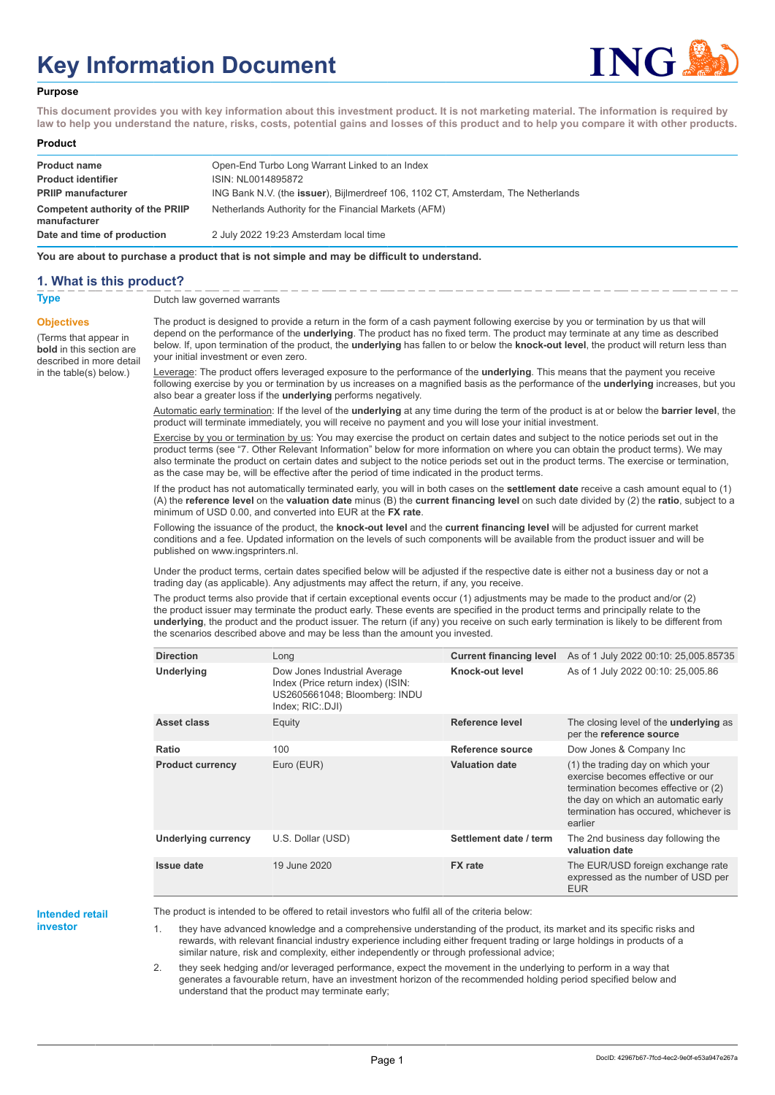# **Key Information Document**



#### **Purpose**

**This document provides you with key information about this investment product. It is not marketing material. The information is required by law to help you understand the nature, risks, costs, potential gains and losses of this product and to help you compare it with other products.**

#### **Product**

| <b>Product name</b><br><b>Product identifier</b> | Open-End Turbo Long Warrant Linked to an Index<br>ISIN: NL0014895872                      |
|--------------------------------------------------|-------------------------------------------------------------------------------------------|
| <b>PRIIP manufacturer</b>                        | ING Bank N.V. (the <b>issuer</b> ), Bijlmerdreef 106, 1102 CT, Amsterdam, The Netherlands |
| Competent authority of the PRIIP<br>manufacturer | Netherlands Authority for the Financial Markets (AFM)                                     |
| Date and time of production                      | 2 July 2022 19:23 Amsterdam local time                                                    |

**You are about to purchase a product that is not simple and may be difficult to understand.**

## **1. What is this product?**

**Objectives**

(Terms that appear in **bold** in this section are

in the table(s) below.)

**Type** Dutch law governed warrants

described in more detail The product is designed to provide a return in the form of a cash payment following exercise by you or termination by us that will depend on the performance of the **underlying**. The product has no fixed term. The product may terminate at any time as described below. If, upon termination of the product, the **underlying** has fallen to or below the **knock-out level**, the product will return less than your initial investment or even zero.

> Leverage: The product offers leveraged exposure to the performance of the **underlying**. This means that the payment you receive following exercise by you or termination by us increases on a magnified basis as the performance of the **underlying** increases, but you also bear a greater loss if the **underlying** performs negatively.

> Automatic early termination: If the level of the **underlying** at any time during the term of the product is at or below the **barrier level**, the product will terminate immediately, you will receive no payment and you will lose your initial investment.

> Exercise by you or termination by us: You may exercise the product on certain dates and subject to the notice periods set out in the product terms (see "7. Other Relevant Information" below for more information on where you can obtain the product terms). We may also terminate the product on certain dates and subject to the notice periods set out in the product terms. The exercise or termination, as the case may be, will be effective after the period of time indicated in the product terms.

> If the product has not automatically terminated early, you will in both cases on the **settlement date** receive a cash amount equal to (1) (A) the **reference level** on the **valuation date** minus (B) the **current financing level** on such date divided by (2) the **ratio**, subject to a minimum of USD 0.00, and converted into EUR at the **FX rate**.

Following the issuance of the product, the **knock-out level** and the **current financing level** will be adjusted for current market conditions and a fee. Updated information on the levels of such components will be available from the product issuer and will be published on www.ingsprinters.nl.

Under the product terms, certain dates specified below will be adjusted if the respective date is either not a business day or not a trading day (as applicable). Any adjustments may affect the return, if any, you receive.

The product terms also provide that if certain exceptional events occur (1) adjustments may be made to the product and/or (2) the product issuer may terminate the product early. These events are specified in the product terms and principally relate to the **underlying**, the product and the product issuer. The return (if any) you receive on such early termination is likely to be different from the scenarios described above and may be less than the amount you invested.

| <b>Direction</b>        | Long                                                                                                                   | <b>Current financing level</b> | As of 1 July 2022 00:10: 25,005.85735                                                                                                                                                                     |
|-------------------------|------------------------------------------------------------------------------------------------------------------------|--------------------------------|-----------------------------------------------------------------------------------------------------------------------------------------------------------------------------------------------------------|
| Underlying              | Dow Jones Industrial Average<br>Index (Price return index) (ISIN:<br>US2605661048; Bloomberg: INDU<br>Index; RIC: DJI) | Knock-out level                | As of 1 July 2022 00:10: 25,005.86                                                                                                                                                                        |
| Asset class             | Equity                                                                                                                 | Reference level                | The closing level of the <b>underlying</b> as<br>per the reference source                                                                                                                                 |
| Ratio                   | 100                                                                                                                    | Reference source               | Dow Jones & Company Inc                                                                                                                                                                                   |
| <b>Product currency</b> | Euro (EUR)                                                                                                             | <b>Valuation date</b>          | (1) the trading day on which your<br>exercise becomes effective or our<br>termination becomes effective or (2)<br>the day on which an automatic early<br>termination has occured, whichever is<br>earlier |
| Underlying currency     | U.S. Dollar (USD)                                                                                                      | Settlement date / term         | The 2nd business day following the<br>valuation date                                                                                                                                                      |
| <b>Issue date</b>       | 19 June 2020                                                                                                           | <b>FX</b> rate                 | The EUR/USD foreign exchange rate<br>expressed as the number of USD per<br><b>EUR</b>                                                                                                                     |

#### **Intended retail investor**

The product is intended to be offered to retail investors who fulfil all of the criteria below:

1. they have advanced knowledge and a comprehensive understanding of the product, its market and its specific risks and rewards, with relevant financial industry experience including either frequent trading or large holdings in products of a similar nature, risk and complexity, either independently or through professional advice;

2. they seek hedging and/or leveraged performance, expect the movement in the underlying to perform in a way that generates a favourable return, have an investment horizon of the recommended holding period specified below and understand that the product may terminate early;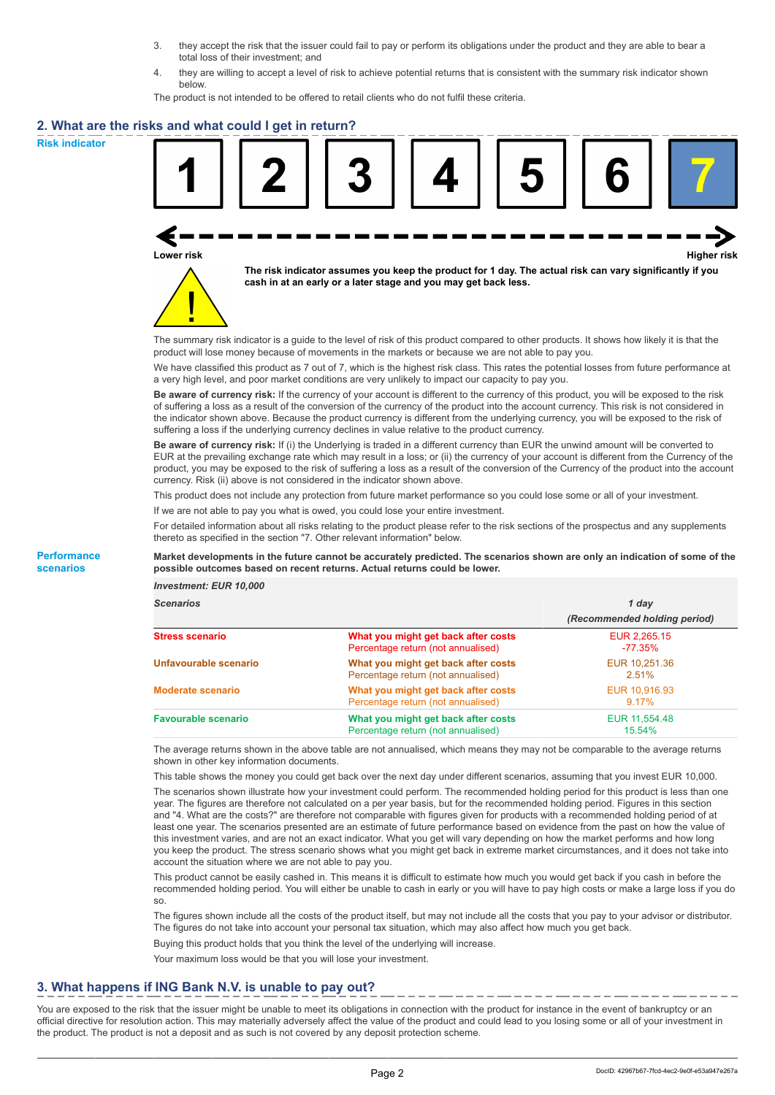- 3. they accept the risk that the issuer could fail to pay or perform its obligations under the product and they are able to bear a total loss of their investment; and
- 4. they are willing to accept a level of risk to achieve potential returns that is consistent with the summary risk indicator shown below.

The product is not intended to be offered to retail clients who do not fulfil these criteria.

## **2. What are the risks and what could I get in return?**

**Risk indicator**

**Performance scenarios**





**The risk indicator assumes you keep the product for 1 day. The actual risk can vary significantly if you cash in at an early or a later stage and you may get back less.**

The summary risk indicator is a guide to the level of risk of this product compared to other products. It shows how likely it is that the product will lose money because of movements in the markets or because we are not able to pay you.

We have classified this product as 7 out of 7, which is the highest risk class. This rates the potential losses from future performance at a very high level, and poor market conditions are very unlikely to impact our capacity to pay you.

**Be aware of currency risk:** If the currency of your account is different to the currency of this product, you will be exposed to the risk of suffering a loss as a result of the conversion of the currency of the product into the account currency. This risk is not considered in the indicator shown above. Because the product currency is different from the underlying currency, you will be exposed to the risk of suffering a loss if the underlying currency declines in value relative to the product currency.

**Be aware of currency risk:** If (i) the Underlying is traded in a different currency than EUR the unwind amount will be converted to EUR at the prevailing exchange rate which may result in a loss; or (ii) the currency of your account is different from the Currency of the product, you may be exposed to the risk of suffering a loss as a result of the conversion of the Currency of the product into the account currency. Risk (ii) above is not considered in the indicator shown above.

This product does not include any protection from future market performance so you could lose some or all of your investment.

If we are not able to pay you what is owed, you could lose your entire investment.

For detailed information about all risks relating to the product please refer to the risk sections of the prospectus and any supplements thereto as specified in the section "7. Other relevant information" below.

#### **Market developments in the future cannot be accurately predicted. The scenarios shown are only an indication of some of the possible outcomes based on recent returns. Actual returns could be lower.**

*Investment: EUR 10,000*

| <b>Scenarios</b>           |                                                                           | 1 day                        |  |
|----------------------------|---------------------------------------------------------------------------|------------------------------|--|
|                            |                                                                           | (Recommended holding period) |  |
| <b>Stress scenario</b>     | What you might get back after costs<br>Percentage return (not annualised) | EUR 2.265.15<br>-77.35%      |  |
| Unfavourable scenario      | What you might get back after costs<br>Percentage return (not annualised) | EUR 10,251.36<br>2.51%       |  |
| <b>Moderate scenario</b>   | What you might get back after costs<br>Percentage return (not annualised) | EUR 10,916.93<br>$9.17\%$    |  |
| <b>Favourable scenario</b> | What you might get back after costs<br>Percentage return (not annualised) | EUR 11,554.48<br>15.54%      |  |

The average returns shown in the above table are not annualised, which means they may not be comparable to the average returns shown in other key information documents.

This table shows the money you could get back over the next day under different scenarios, assuming that you invest EUR 10,000.

The scenarios shown illustrate how your investment could perform. The recommended holding period for this product is less than one year. The figures are therefore not calculated on a per year basis, but for the recommended holding period. Figures in this section and "4. What are the costs?" are therefore not comparable with figures given for products with a recommended holding period of at least one year. The scenarios presented are an estimate of future performance based on evidence from the past on how the value of this investment varies, and are not an exact indicator. What you get will vary depending on how the market performs and how long you keep the product. The stress scenario shows what you might get back in extreme market circumstances, and it does not take into account the situation where we are not able to pay you.

This product cannot be easily cashed in. This means it is difficult to estimate how much you would get back if you cash in before the recommended holding period. You will either be unable to cash in early or you will have to pay high costs or make a large loss if you do so.

The figures shown include all the costs of the product itself, but may not include all the costs that you pay to your advisor or distributor. The figures do not take into account your personal tax situation, which may also affect how much you get back.

Buying this product holds that you think the level of the underlying will increase.

Your maximum loss would be that you will lose your investment.

# **3. What happens if ING Bank N.V. is unable to pay out?**

You are exposed to the risk that the issuer might be unable to meet its obligations in connection with the product for instance in the event of bankruptcy or an official directive for resolution action. This may materially adversely affect the value of the product and could lead to you losing some or all of your investment in the product. The product is not a deposit and as such is not covered by any deposit protection scheme.